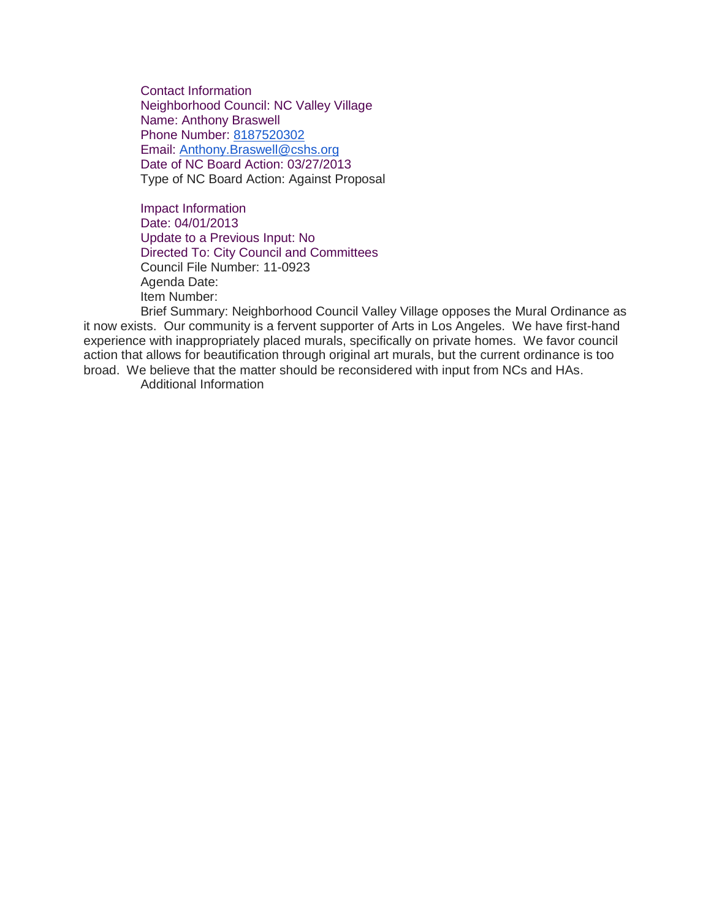Contact Information Neighborhood Council: NC Valley Village Name: Anthony Braswell Phone Number: [8187520302](tel:8187520302) Email: [Anthony.Braswell@cshs.org](mailto:Anthony.Braswell@cshs.org) Date of NC Board Action: 03/27/2013 Type of NC Board Action: Against Proposal

Impact Information Date: 04/01/2013 Update to a Previous Input: No Directed To: City Council and Committees Council File Number: 11-0923 Agenda Date: Item Number:

Brief Summary: Neighborhood Council Valley Village opposes the Mural Ordinance as it now exists. Our community is a fervent supporter of Arts in Los Angeles. We have first-hand experience with inappropriately placed murals, specifically on private homes. We favor council action that allows for beautification through original art murals, but the current ordinance is too broad. We believe that the matter should be reconsidered with input from NCs and HAs.

Additional Information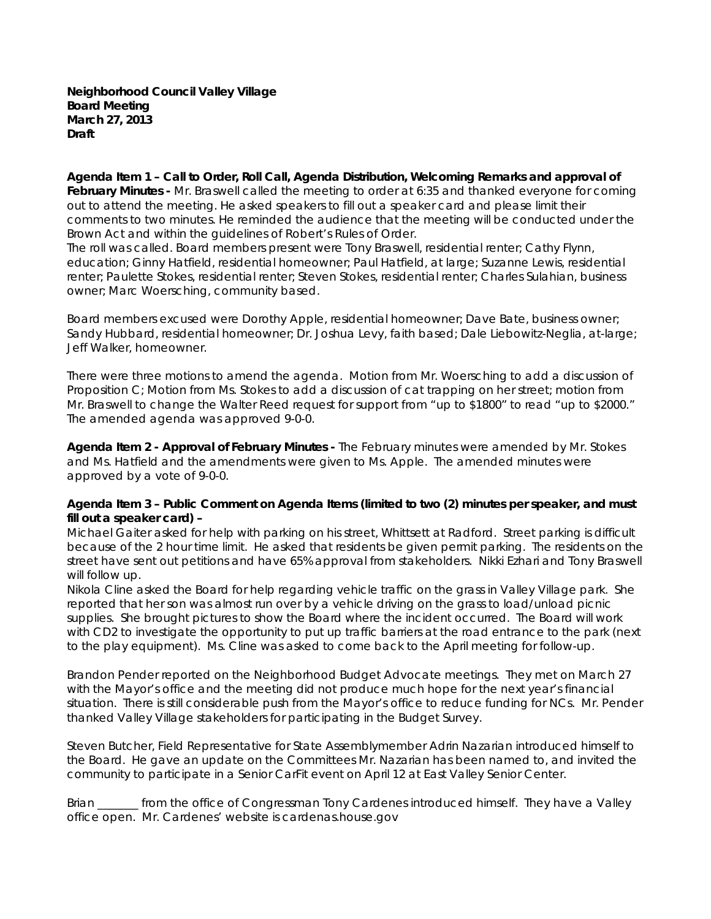**Neighborhood Council Valley Village Board Meeting March 27, 2013 Draft**

**Agenda Item 1 – Call to Order, Roll Call, Agenda Distribution, Welcoming Remarks and approval of February Minutes -** Mr. Braswell called the meeting to order at 6:35 and thanked everyone for coming out to attend the meeting. He asked speakers to fill out a speaker card and please limit their comments to two minutes. He reminded the audience that the meeting will be conducted under the Brown Act and within the guidelines of Robert's Rules of Order.

The roll was called. Board members present were Tony Braswell, residential renter; Cathy Flynn, education; Ginny Hatfield, residential homeowner; Paul Hatfield, at large; Suzanne Lewis, residential renter; Paulette Stokes, residential renter; Steven Stokes, residential renter; Charles Sulahian, business owner; Marc Woersching, community based.

Board members excused were Dorothy Apple, residential homeowner; Dave Bate, business owner; Sandy Hubbard, residential homeowner; Dr. Joshua Levy, faith based; Dale Liebowitz-Neglia, at-large; Jeff Walker, homeowner.

There were three motions to amend the agenda. *Motion from Mr. Woersching to add a discussion of Proposition C; Motion from Ms. Stokes to add a discussion of cat trapping on her street; motion from Mr. Braswell to change the Walter Reed request for support from "up to \$1800" to read "up to \$2000." The amended agenda was approved* 9-0-0.

**Agenda Item 2 - Approval of February Minutes -** The February minutes were amended by Mr. Stokes and Ms. Hatfield and the amendments were given to Ms. Apple. The amended minutes were approved by a vote of 9-0-0.

### **Agenda Item 3 – Public Comment on Agenda Items (limited to two (2) minutes per speaker, and must fill out a speaker card) –**

Michael Gaiter asked for help with parking on his street, Whittsett at Radford. Street parking is difficult because of the 2 hour time limit. He asked that residents be given permit parking. The residents on the street have sent out petitions and have 65% approval from stakeholders. Nikki Ezhari and Tony Braswell will follow up.

Nikola Cline asked the Board for help regarding vehicle traffic on the grass in Valley Village park. She reported that her son was almost run over by a vehicle driving on the grass to load/unload picnic supplies. She brought pictures to show the Board where the incident occurred. The Board will work with CD2 to investigate the opportunity to put up traffic barriers at the road entrance to the park (next to the play equipment). Ms. Cline was asked to come back to the April meeting for follow-up.

Brandon Pender reported on the Neighborhood Budget Advocate meetings. They met on March 27 with the Mayor's office and the meeting did not produce much hope for the next year's financial situation. There is still considerable push from the Mayor's office to reduce funding for NCs. Mr. Pender thanked Valley Village stakeholders for participating in the Budget Survey.

Steven Butcher, Field Representative for State Assemblymember Adrin Nazarian introduced himself to the Board. He gave an update on the Committees Mr. Nazarian has been named to, and invited the community to participate in a Senior CarFit event on April 12 at East Valley Senior Center.

Brian \_\_\_\_\_\_\_ from the office of Congressman Tony Cardenes introduced himself. They have a Valley office open. Mr. Cardenes' website is cardenas.house.gov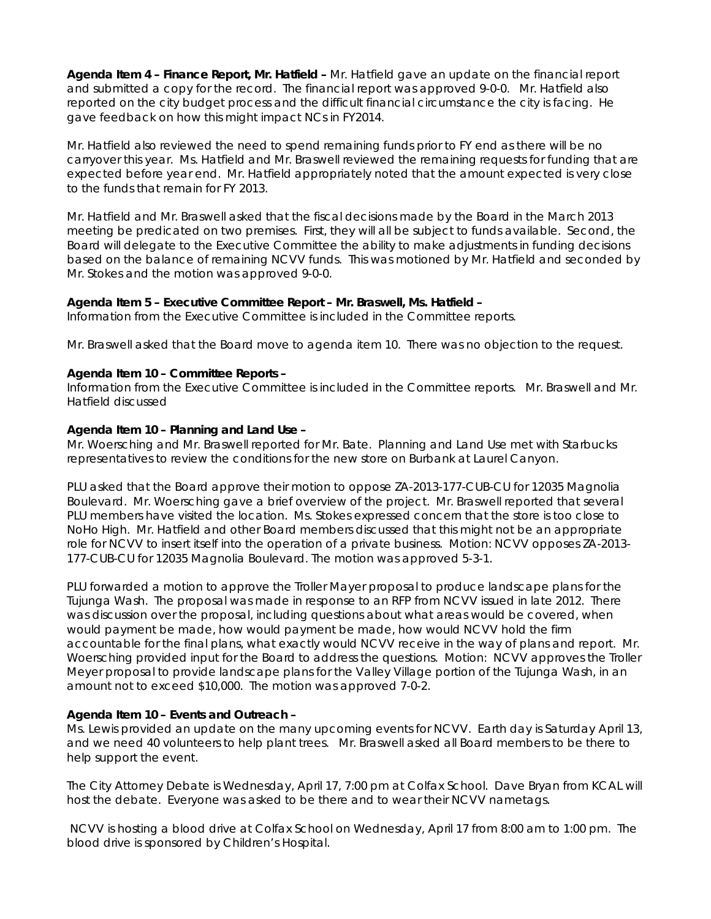**Agenda Item 4 – Finance Report, Mr. Hatfield –** Mr. Hatfield gave an update on the financial report and submitted a copy for the record. The financial report was approved 9-0-0. Mr. Hatfield also reported on the city budget process and the difficult financial circumstance the city is facing. He gave feedback on how this might impact NCs in FY2014.

Mr. Hatfield also reviewed the need to spend remaining funds prior to FY end as there will be no carryover this year. Ms. Hatfield and Mr. Braswell reviewed the remaining requests for funding that are expected before year end. Mr. Hatfield appropriately noted that the amount expected is very close to the funds that remain for FY 2013.

Mr. Hatfield and Mr. Braswell asked that the fiscal decisions made by the Board in the March 2013 meeting be predicated on two premises. First, they will all be subject to funds available. Second, the Board will delegate to the Executive Committee the ability to make adjustments in funding decisions based on the balance of remaining NCVV funds. This was motioned by Mr. Hatfield and seconded by Mr. Stokes and the motion was approved 9-0-0.

### **Agenda Item 5 – Executive Committee Report – Mr. Braswell, Ms. Hatfield –**

Information from the Executive Committee is included in the Committee reports.

Mr. Braswell asked that the Board move to agenda item 10. There was no objection to the request.

### **Agenda Item 10 – Committee Reports –**

Information from the Executive Committee is included in the Committee reports. Mr. Braswell and Mr. Hatfield discussed

### **Agenda Item 10 – Planning and Land Use –**

Mr. Woersching and Mr. Braswell reported for Mr. Bate. Planning and Land Use met with Starbucks representatives to review the conditions for the new store on Burbank at Laurel Canyon.

PLU asked that the Board approve their motion to *oppose* ZA-2013-177-CUB-CU for 12035 Magnolia Boulevard. Mr. Woersching gave a brief overview of the project. Mr. Braswell reported that several PLU members have visited the location. Ms. Stokes expressed concern that the store is too close to NoHo High. Mr. Hatfield and other Board members discussed that this might not be an appropriate role for NCVV to insert itself into the operation of a private business. *Motion: NCVV opposes ZA-2013- 177-CUB-CU for 12035 Magnolia Boulevard.* The motion was approved 5-3-1.

PLU forwarded a motion to approve the Troller Mayer proposal to produce landscape plans for the Tujunga Wash. The proposal was made in response to an RFP from NCVV issued in late 2012. There was discussion over the proposal, including questions about what areas would be covered, when would payment be made, how would payment be made, how would NCVV hold the firm accountable for the final plans, what exactly would NCVV receive in the way of plans and report. Mr. Woersching provided input for the Board to address the questions. *Motion: NCVV approves the Troller Meyer proposal to provide landscape plans for the Valley Village portion of the Tujunga Wash, in an amount not to exceed \$10,000.* The motion was approved 7-0-2.

### **Agenda Item 10 – Events and Outreach –**

Ms. Lewis provided an update on the many upcoming events for NCVV. Earth day is Saturday April 13, and we need 40 volunteers to help plant trees. Mr. Braswell asked all Board members to be there to help support the event.

The City Attorney Debate is Wednesday, April 17, 7:00 pm at Colfax School. Dave Bryan from KCAL will host the debate. Everyone was asked to be there and to wear their NCVV nametags.

NCVV is hosting a blood drive at Colfax School on Wednesday, April 17 from 8:00 am to 1:00 pm. The blood drive is sponsored by Children's Hospital.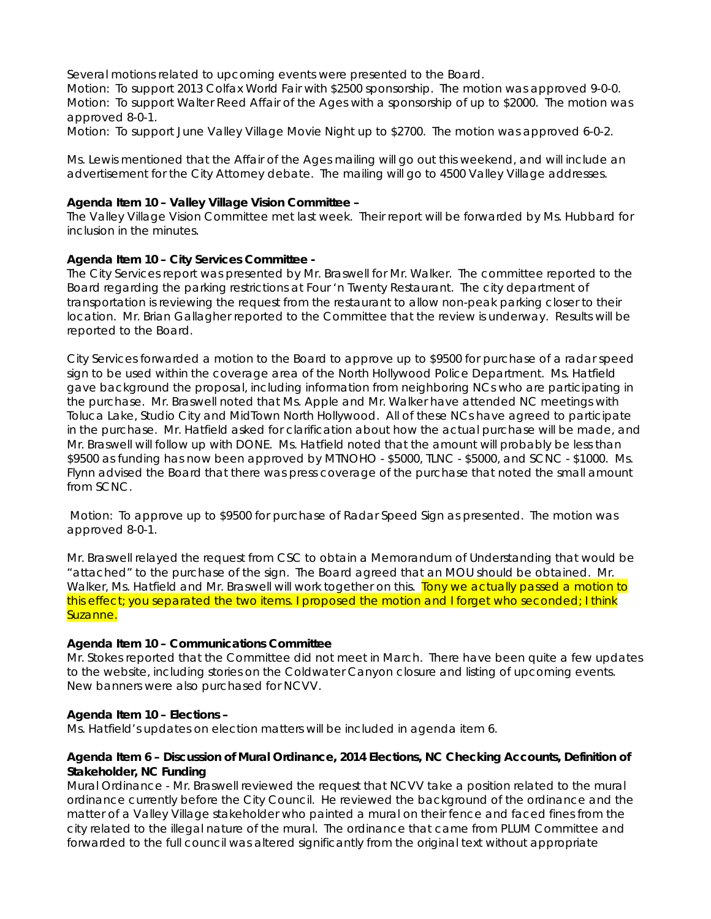Several motions related to upcoming events were presented to the Board.

*Motion: To support 2013 Colfax World Fair with \$2500 sponsorship.* The motion was approved 9-0-0. *Motion: To support Walter Reed Affair of the Ages with a sponsorship of up to \$2000.* The motion was approved 8-0-1.

*Motion: To support June Valley Village Movie Night up to \$2700.* The motion was approved 6-0-2.

Ms. Lewis mentioned that the Affair of the Ages mailing will go out this weekend, and will include an advertisement for the City Attorney debate. The mailing will go to 4500 Valley Village addresses.

### **Agenda Item 10 – Valley Village Vision Committee –**

The Valley Village Vision Committee met last week. Their report will be forwarded by Ms. Hubbard for inclusion in the minutes.

### **Agenda Item 10 – City Services Committee -**

The City Services report was presented by Mr. Braswell for Mr. Walker. The committee reported to the Board regarding the parking restrictions at Four 'n Twenty Restaurant. The city department of transportation is reviewing the request from the restaurant to allow non-peak parking closer to their location. Mr. Brian Gallagher reported to the Committee that the review is underway. Results will be reported to the Board.

City Services forwarded a motion to the Board to approve up to \$9500 for purchase of a radar speed sign to be used within the coverage area of the North Hollywood Police Department. Ms. Hatfield gave background the proposal, including information from neighboring NCs who are participating in the purchase. Mr. Braswell noted that Ms. Apple and Mr. Walker have attended NC meetings with Toluca Lake, Studio City and MidTown North Hollywood. All of these NCs have agreed to participate in the purchase. Mr. Hatfield asked for clarification about how the actual purchase will be made, and Mr. Braswell will follow up with DONE. Ms. Hatfield noted that the amount will probably be less than \$9500 as funding has now been approved by MTNOHO - \$5000, TLNC - \$5000, and SCNC - \$1000. Ms. Flynn advised the Board that there was press coverage of the purchase that noted the small amount from SCNC.

Motion: To approve up to \$9500 for purchase of Radar Speed Sign as presented. The motion was approved 8-0-1.

Mr. Braswell relayed the request from CSC to obtain a Memorandum of Understanding that would be "attached" to the purchase of the sign. The Board agreed that an MOU should be obtained. Mr. Walker, Ms. Hatfield and Mr. Braswell will work together on this. Tony we actually passed a motion to this effect; you separated the two items. I proposed the motion and I forget who seconded; I think Suzanne.

#### **Agenda Item 10 – Communications Committee**

Mr. Stokes reported that the Committee did not meet in March. There have been quite a few updates to the website, including stories on the Coldwater Canyon closure and listing of upcoming events. New banners were also purchased for NCVV.

#### **Agenda Item 10 – Elections –**

Ms. Hatfield's updates on election matters will be included in agenda item 6.

### **Agenda Item 6 – Discussion of Mural Ordinance, 2014 Elections, NC Checking Accounts, Definition of Stakeholder, NC Funding**

Mural Ordinance - Mr. Braswell reviewed the request that NCVV take a position related to the mural ordinance currently before the City Council. He reviewed the background of the ordinance and the matter of a Valley Village stakeholder who painted a mural on their fence and faced fines from the city related to the illegal nature of the mural. The ordinance that came from PLUM Committee and forwarded to the full council was altered significantly from the original text without appropriate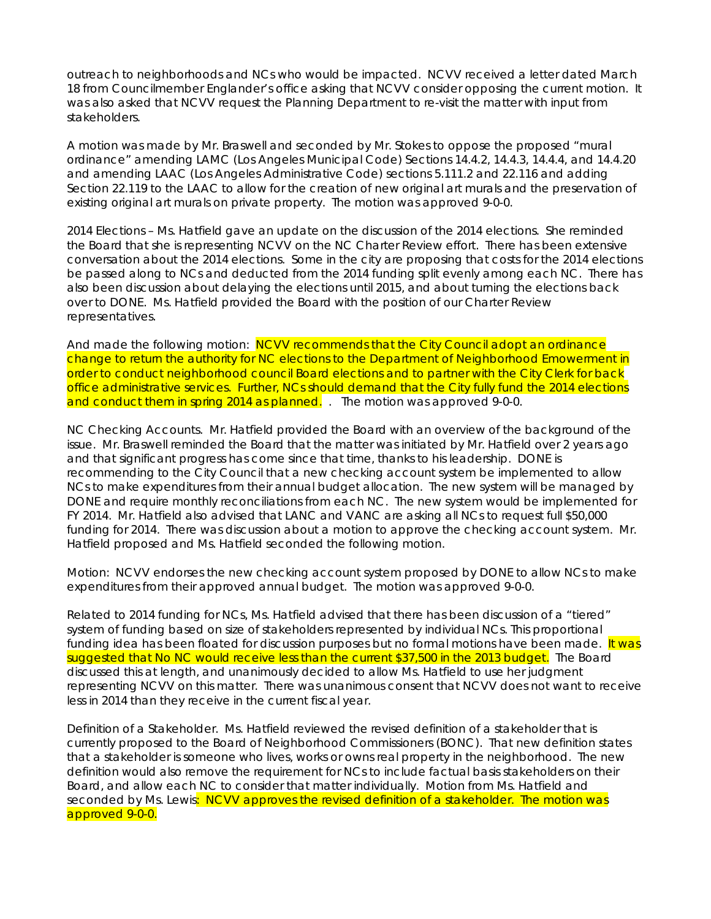outreach to neighborhoods and NCs who would be impacted. NCVV received a letter dated March 18 from Councilmember Englander's office asking that NCVV consider opposing the current motion. It was also asked that NCVV request the Planning Department to re-visit the matter with input from stakeholders.

*A motion was made by Mr. Braswell and seconded by Mr. Stokes to oppose the proposed "mural ordinance" amending LAMC (Los Angeles Municipal Code) Sections 14.4.2, 14.4.3, 14.4.4, and 14.4.20 and amending LAAC (Los Angeles Administrative Code) sections 5.111.2 and 22.116 and adding Section 22.119 to the LAAC to allow for the creation of new original art murals and the preservation of existing original art murals on private property.* The motion was approved 9-0-0.

2014 Elections – Ms. Hatfield gave an update on the discussion of the 2014 elections. She reminded the Board that she is representing NCVV on the NC Charter Review effort. There has been extensive conversation about the 2014 elections. Some in the city are proposing that costs for the 2014 elections be passed along to NCs and deducted from the 2014 funding split evenly among each NC. There has also been discussion about delaying the elections until 2015, and about turning the elections back over to DONE. Ms. Hatfield provided the Board with the position of our Charter Review representatives.

And made the following motion: NCVV recommends that the City Council adopt an ordinance change to return the authority for NC elections to the Department of Neighborhood Emowerment in order to conduct neighborhood council Board elections and to partner with the City Clerk for back office administrative services. Further, NCs should demand that the City fully fund the 2014 elections and conduct them in spring 2014 as planned. *.* The motion was approved 9-0-0.

NC Checking Accounts. Mr. Hatfield provided the Board with an overview of the background of the issue. Mr. Braswell reminded the Board that the matter was initiated by Mr. Hatfield over 2 years ago and that significant progress has come since that time, thanks to his leadership. DONE is recommending to the City Council that a new checking account system be implemented to allow NCs to make expenditures from their annual budget allocation. The new system will be managed by DONE and require monthly reconciliations from each NC. The new system would be implemented for FY 2014. Mr. Hatfield also advised that LANC and VANC are asking all NCs to request full \$50,000 funding for 2014. There was discussion about a motion to approve the checking account system. Mr. Hatfield proposed and Ms. Hatfield seconded the following motion.

Motion: NCVV endorses the new checking account system proposed by DONE to allow NCs to make expenditures from their approved annual budget. The motion was approved 9-0-0.

Related to 2014 funding for NCs, Ms. Hatfield advised that there has been discussion of a "tiered" system of funding based on size of stakeholders represented by individual NCs. This proportional funding idea has been floated for discussion purposes but no formal motions have been made. It was suggested that No NC would receive less than the current \$37,500 in the 2013 budget. The Board discussed this at length, and unanimously decided to allow Ms. Hatfield to use her judgment representing NCVV on this matter. There was unanimous consent that NCVV does not want to receive less in 2014 than they receive in the current fiscal year.

Definition of a Stakeholder. Ms. Hatfield reviewed the revised definition of a stakeholder that is currently proposed to the Board of Neighborhood Commissioners (BONC). That new definition states that a stakeholder is someone who lives, works or owns real property in the neighborhood. The new definition would also remove the requirement for NCs to include factual basis stakeholders on their Board, and allow each NC to consider that matter individually. Motion from Ms. Hatfield and seconded by Ms. Lewis: NCVV approves the revised definition of a stakeholder. The motion was approved 9-0-0.